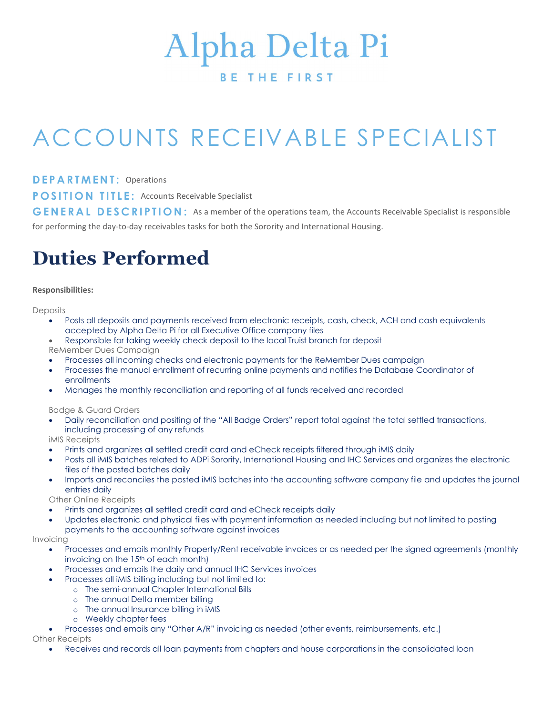# **Alpha Delta Pi**

#### **BETHEFIRST**

## ACCOUNTS RECEIVABLE SPECIALIST

D E P A R T M E N T: Operations

**POSITION TITLE: Accounts Receivable Specialist** 

GENERAL DESCRIPTION: As a member of the operations team, the Accounts Receivable Specialist is responsible for performing the day-to-day receivables tasks for both the Sorority and International Housing.

## Duties Performed

#### Responsibilities:

**Deposits** 

- Posts all deposits and payments received from electronic receipts, cash, check, ACH and cash equivalents accepted by Alpha Delta Pi for all Executive Office company files
- Responsible for taking weekly check deposit to the local Truist branch for deposit
- ReMember Dues Campaign
- Processes all incoming checks and electronic payments for the ReMember Dues campaign
- Processes the manual enrollment of recurring online payments and notifies the Database Coordinator of enrollments
- Manages the monthly reconciliation and reporting of all funds received and recorded

Badge & Guard Orders

 Daily reconciliation and positing of the "All Badge Orders" report total against the total settled transactions, including processing of any refunds

iMIS Receipts

- Prints and organizes all settled credit card and eCheck receipts filtered through iMIS daily
- Posts all iMIS batches related to ADPi Sorority, International Housing and IHC Services and organizes the electronic files of the posted batches daily
- Imports and reconciles the posted iMIS batches into the accounting software company file and updates the journal entries daily

Other Online Receipts

- Prints and organizes all settled credit card and eCheck receipts daily
- Updates electronic and physical files with payment information as needed including but not limited to posting payments to the accounting software against invoices

#### Invoicing

- Processes and emails monthly Property/Rent receivable invoices or as needed per the signed agreements (monthly invoicing on the  $15<sup>th</sup>$  of each month)
- Processes and emails the daily and annual IHC Services invoices
	- Processes all iMIS billing including but not limited to:
		- o The semi-annual Chapter International Bills
			- o The annual Delta member billing
			- o The annual Insurance billing in iMIS
			- o Weekly chapter fees
- Processes and emails any "Other A/R" invoicing as needed (other events, reimbursements, etc.)

Other Receipts

Receives and records all loan payments from chapters and house corporations in the consolidated loan